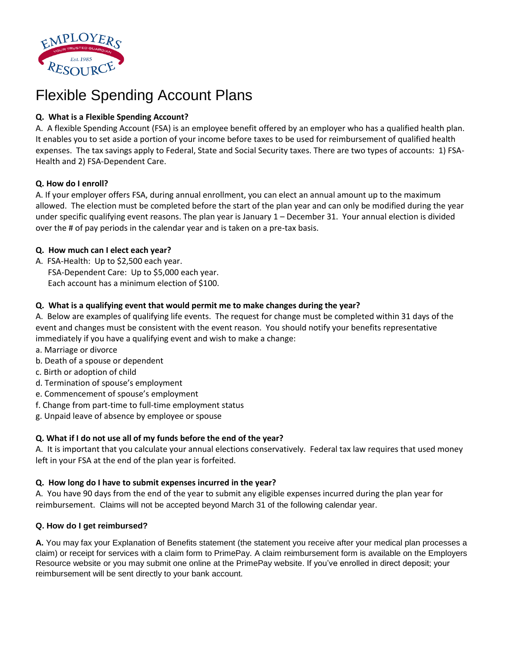

# Flexible Spending Account Plans

# **Q. What is a Flexible Spending Account?**

A. A flexible Spending Account (FSA) is an employee benefit offered by an employer who has a qualified health plan. It enables you to set aside a portion of your income before taxes to be used for reimbursement of qualified health expenses. The tax savings apply to Federal, State and Social Security taxes. There are two types of accounts: 1) FSA-Health and 2) FSA-Dependent Care.

#### **Q. How do I enroll?**

A. If your employer offers FSA, during annual enrollment, you can elect an annual amount up to the maximum allowed. The election must be completed before the start of the plan year and can only be modified during the year under specific qualifying event reasons. The plan year is January 1 – December 31. Your annual election is divided over the # of pay periods in the calendar year and is taken on a pre-tax basis.

## **Q. How much can I elect each year?**

A. FSA-Health: Up to \$2,500 each year. FSA-Dependent Care: Up to \$5,000 each year. Each account has a minimum election of \$100.

## **Q. What is a qualifying event that would permit me to make changes during the year?**

A. Below are examples of qualifying life events. The request for change must be completed within 31 days of the event and changes must be consistent with the event reason. You should notify your benefits representative immediately if you have a qualifying event and wish to make a change:

- a. Marriage or divorce
- b. Death of a spouse or dependent
- c. Birth or adoption of child
- d. Termination of spouse's employment
- e. Commencement of spouse's employment
- f. Change from part-time to full-time employment status
- g. Unpaid leave of absence by employee or spouse

# **Q. What if I do not use all of my funds before the end of the year?**

A. It is important that you calculate your annual elections conservatively. Federal tax law requires that used money left in your FSA at the end of the plan year is forfeited.

#### **Q. How long do I have to submit expenses incurred in the year?**

A. You have 90 days from the end of the year to submit any eligible expenses incurred during the plan year for reimbursement. Claims will not be accepted beyond March 31 of the following calendar year.

#### **Q. How do I get reimbursed?**

**A.** You may fax your Explanation of Benefits statement (the statement you receive after your medical plan processes a claim) or receipt for services with a claim form to PrimePay. A claim reimbursement form is available on the Employers Resource website or you may submit one online at the PrimePay website. If you've enrolled in direct deposit; your reimbursement will be sent directly to your bank account.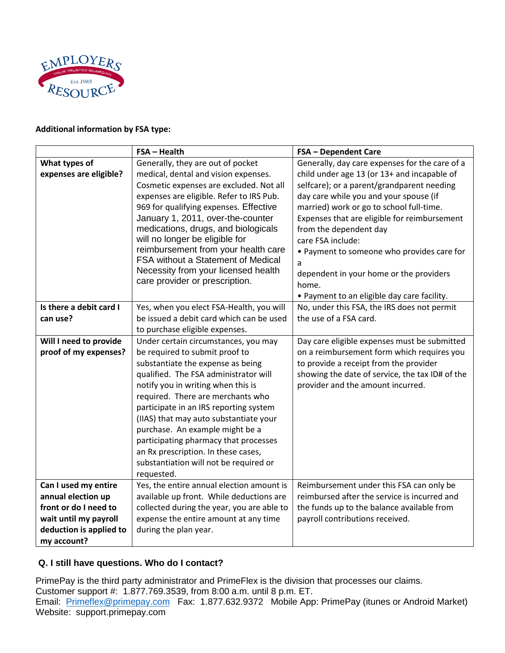

#### **Additional information by FSA type:**

|                                                 | <b>FSA - Health</b>                                                       | <b>FSA - Dependent Care</b>                                                                |
|-------------------------------------------------|---------------------------------------------------------------------------|--------------------------------------------------------------------------------------------|
| What types of                                   | Generally, they are out of pocket                                         | Generally, day care expenses for the care of a                                             |
| expenses are eligible?                          | medical, dental and vision expenses.                                      | child under age 13 (or 13+ and incapable of                                                |
|                                                 | Cosmetic expenses are excluded. Not all                                   | selfcare); or a parent/grandparent needing                                                 |
|                                                 | expenses are eligible. Refer to IRS Pub.                                  | day care while you and your spouse (if                                                     |
|                                                 | 969 for qualifying expenses. Effective                                    | married) work or go to school full-time.                                                   |
|                                                 | January 1, 2011, over-the-counter                                         | Expenses that are eligible for reimbursement                                               |
|                                                 | medications, drugs, and biologicals                                       | from the dependent day                                                                     |
|                                                 | will no longer be eligible for                                            | care FSA include:                                                                          |
|                                                 | reimbursement from your health care<br>FSA without a Statement of Medical | • Payment to someone who provides care for                                                 |
|                                                 | Necessity from your licensed health                                       | a                                                                                          |
|                                                 | care provider or prescription.                                            | dependent in your home or the providers                                                    |
|                                                 |                                                                           | home.                                                                                      |
|                                                 |                                                                           | • Payment to an eligible day care facility.                                                |
| Is there a debit card I                         | Yes, when you elect FSA-Health, you will                                  | No, under this FSA, the IRS does not permit                                                |
| can use?                                        | be issued a debit card which can be used                                  | the use of a FSA card.                                                                     |
|                                                 | to purchase eligible expenses.                                            |                                                                                            |
| Will I need to provide<br>proof of my expenses? | Under certain circumstances, you may<br>be required to submit proof to    | Day care eligible expenses must be submitted<br>on a reimbursement form which requires you |
|                                                 | substantiate the expense as being                                         | to provide a receipt from the provider                                                     |
|                                                 | qualified. The FSA administrator will                                     | showing the date of service, the tax ID# of the                                            |
|                                                 | notify you in writing when this is                                        | provider and the amount incurred.                                                          |
|                                                 | required. There are merchants who                                         |                                                                                            |
|                                                 | participate in an IRS reporting system                                    |                                                                                            |
|                                                 | (IIAS) that may auto substantiate your                                    |                                                                                            |
|                                                 | purchase. An example might be a                                           |                                                                                            |
|                                                 | participating pharmacy that processes                                     |                                                                                            |
|                                                 | an Rx prescription. In these cases,                                       |                                                                                            |
|                                                 | substantiation will not be required or                                    |                                                                                            |
|                                                 | requested.                                                                |                                                                                            |
| Can I used my entire                            | Yes, the entire annual election amount is                                 | Reimbursement under this FSA can only be                                                   |
| annual election up                              | available up front. While deductions are                                  | reimbursed after the service is incurred and                                               |
| front or do I need to                           | collected during the year, you are able to                                | the funds up to the balance available from                                                 |
| wait until my payroll                           | expense the entire amount at any time                                     | payroll contributions received.                                                            |
| deduction is applied to                         | during the plan year.                                                     |                                                                                            |
| my account?                                     |                                                                           |                                                                                            |

# **Q. I still have questions. Who do I contact?**

PrimePay is the third party administrator and PrimeFlex is the division that processes our claims. Customer support #: 1.877.769.3539, from 8:00 a.m. until 8 p.m. ET. Email: [Primeflex@primepay.com](mailto:Primeflex@primepay.com) Fax: 1.877.632.9372 Mobile App: PrimePay (itunes or Android Market) Website: support.primepay.com